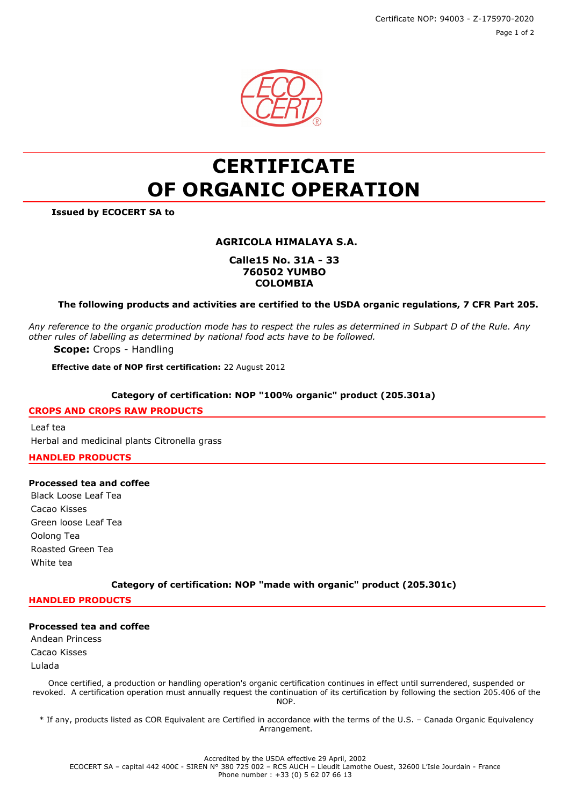Certificate NOP: 94003 - Z-175970-2020 Page 1 of 2



# **CERTIFICATE OF ORGANIC OPERATION**

**Issued by ECOCERT SA to**

# **AGRICOLA HIMALAYA S.A.**

# **Calle15 No. 31A - 33 760502 YUMBO COLOMBIA**

## **The following products and activities are certified to the USDA organic regulations, 7 CFR Part 205.**

*Any reference to the organic production mode has to respect the rules as determined in Subpart D of the Rule. Any other rules of labelling as determined by national food acts have to be followed.*

**Scope:** Crops - Handling

**Effective date of NOP first certification:** 22 August 2012

#### **Category of certification: NOP "100% organic" product (205.301a)**

## **CROPS AND CROPS RAW PRODUCTS**

Leaf tea Herbal and medicinal plants Citronella grass

## **HANDLED PRODUCTS**

## **Processed tea and coffee**

Black Loose Leaf Tea Cacao Kisses Green loose Leaf Tea Oolong Tea Roasted Green Tea White tea

**Category of certification: NOP "made with organic" product (205.301c)**

**HANDLED PRODUCTS**

#### **Processed tea and coffee**

Andean Princess Cacao Kisses Lulada

Once certified, a production or handling operation's organic certification continues in effect until surrendered, suspended or revoked. A certification operation must annually request the continuation of its certification by following the section 205.406 of the NOP.

\* If any, products listed as COR Equivalent are Certified in accordance with the terms of the U.S. – Canada Organic Equivalency Arrangement.